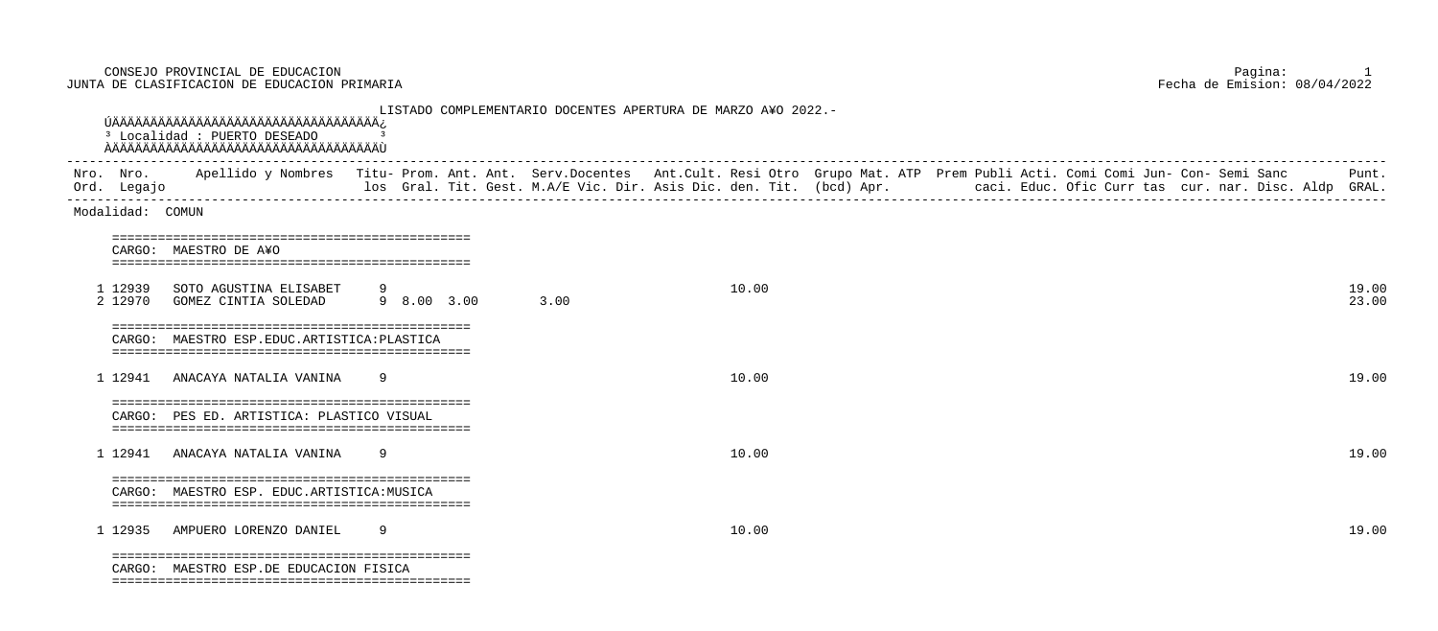CONSEJO PROVINCIAL DE EDUCACION Pagina: 1 JUNTA DE CLASIFICACION DE EDUCACION PRIMARIA

 LISTADO COMPLEMENTARIO DOCENTES APERTURA DE MARZO A¥O 2022.- ÚÄÄÄÄÄÄÄÄÄÄÄÄÄÄÄÄÄÄÄÄÄÄÄÄÄÄÄÄÄÄÄÄÄÄÄ¿ <sup>3</sup> Localidad : PUERTO DESEADO ÀÄÄÄÄÄÄÄÄÄÄÄÄÄÄÄÄÄÄÄÄÄÄÄÄÄÄÄÄÄÄÄÄÄÄÄÙ ----------------------------------------------------------------------------------------------------------------------------------------------------------------------------- Nro. Nro. Apellido y Nombres Titu- Prom. Ant. Ant. Serv.Docentes Ant.Cult. Resi Otro Grupo Mat. ATP Prem Publi Acti. Comi Jun- Con- Semi Sanc Punt. Ord. Legajo los Gral. Tit. Gest. M.A/E Vic. Dir. Asis Dic. den. Tit. (bcd) Apr. caci. Educ. Ofic Curr tas cur. nar. Disc. Aldp GRAL. ----------------------------------------------------------------------------------------------------------------------------------------------------------------------------- Modalidad: COMUN =============================================== CARGO: MAESTRO DE A¥O =============================================== 1 12939 SOTO AGUSTINA ELISABET 9 10.00 19.00 2 12970 GOMEZ CINTIA SOLEDAD 9 8.00 3.00 3.00 23.00 =============================================== CARGO: MAESTRO ESP.EDUC.ARTISTICA:PLASTICA =============================================== 1 12941 ANACAYA NATALIA VANINA 9 10.00 19.00 =============================================== CARGO: PES ED. ARTISTICA: PLASTICO VISUAL =============================================== 1 12941 ANACAYA NATALIA VANINA 9 10.00 19.00 =============================================== CARGO: MAESTRO ESP. EDUC.ARTISTICA:MUSICA =============================================== 1 12935 AMPUERO LORENZO DANIEL 9 10.00 19.00 =============================================== CARGO: MAESTRO ESP.DE EDUCACION FISICA ===============================================